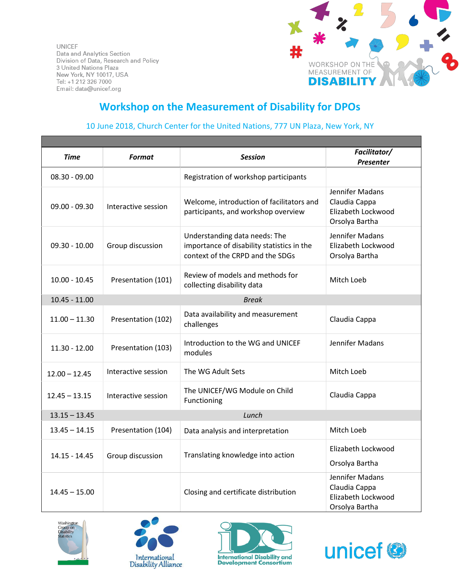**UNICEF** Data and Analytics Section Division of Data, Research and Policy 3 United Nations Plaza New York, NY 10017, USA Tel: +1 212 326 7000 Email: data@unicef.org



## **Workshop on the Measurement of Disability for DPOs**

## 10 June 2018, Church Center for the United Nations, 777 UN Plaza, New York, NY

| Time                            | <b>Format</b>       | <b>Session</b>                                                                                                  | Facilitator/<br><b>Presenter</b>                                         |
|---------------------------------|---------------------|-----------------------------------------------------------------------------------------------------------------|--------------------------------------------------------------------------|
| $08.30 - 09.00$                 |                     | Registration of workshop participants                                                                           |                                                                          |
| $09.00 - 09.30$                 | Interactive session | Welcome, introduction of facilitators and<br>participants, and workshop overview                                | Jennifer Madans<br>Claudia Cappa<br>Elizabeth Lockwood<br>Orsolya Bartha |
| $09.30 - 10.00$                 | Group discussion    | Understanding data needs: The<br>importance of disability statistics in the<br>context of the CRPD and the SDGs | Jennifer Madans<br>Elizabeth Lockwood<br>Orsolya Bartha                  |
| $10.00 - 10.45$                 | Presentation (101)  | Review of models and methods for<br>collecting disability data                                                  | Mitch Loeb                                                               |
| $10.45 - 11.00$<br><b>Break</b> |                     |                                                                                                                 |                                                                          |
| $11.00 - 11.30$                 | Presentation (102)  | Data availability and measurement<br>challenges                                                                 | Claudia Cappa                                                            |
| $11.30 - 12.00$                 | Presentation (103)  | Introduction to the WG and UNICEF<br>modules                                                                    | Jennifer Madans                                                          |
| $12.00 - 12.45$                 | Interactive session | The WG Adult Sets                                                                                               | Mitch Loeb                                                               |
| $12.45 - 13.15$                 | Interactive session | The UNICEF/WG Module on Child<br>Functioning                                                                    | Claudia Cappa                                                            |
| $13.15 - 13.45$<br>Lunch        |                     |                                                                                                                 |                                                                          |
| $13.45 - 14.15$                 | Presentation (104)  | Data analysis and interpretation                                                                                | Mitch Loeb                                                               |
| 14.15 - 14.45                   | Group discussion    | Translating knowledge into action                                                                               | Elizabeth Lockwood<br>Orsolya Bartha                                     |
| $14.45 - 15.00$                 |                     | Closing and certificate distribution                                                                            | Jennifer Madans<br>Claudia Cappa<br>Elizabeth Lockwood<br>Orsolya Bartha |